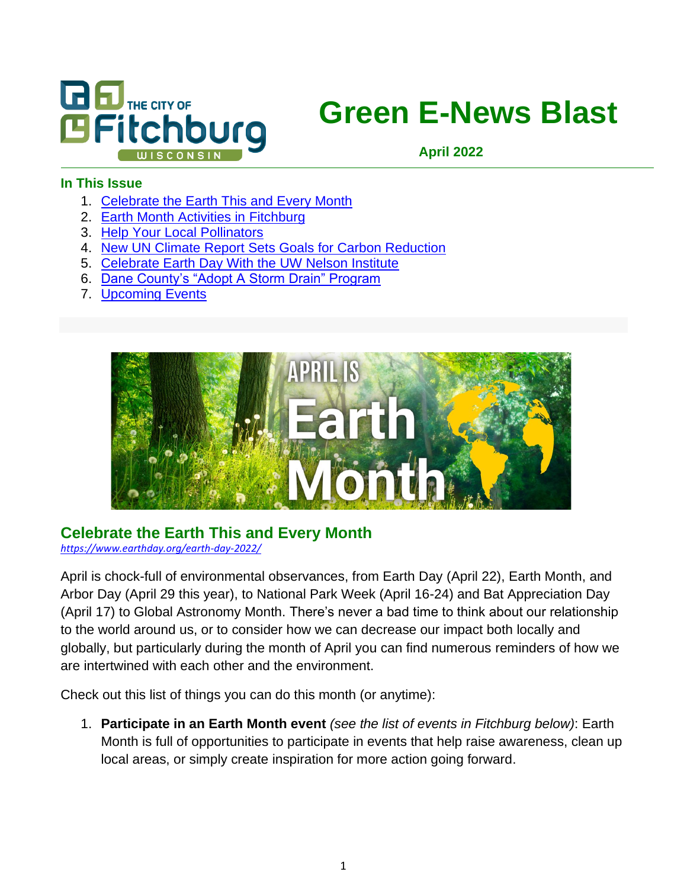

# **Green E-News Blast**

**April 2022**

#### **In This Issue**

- 1. [Celebrate the Earth This and Every Month](#page-0-0)
- 2. Earth Month Activities in [Fitchburg](#page-1-0)
- 3. [Help](#page-2-0) [Your](#page-2-0) Local Pollinators
- 4. [New UN Climate Report Sets Goals for Carbon Reduction](#page-3-0)
- 5. [Celebrate Earth Day With the UW Nelson Institute](#page-4-0)
- 6. [Dane County's "Adopt A Storm Drain" Program](Adopt#_Dane_County’s_)
- 7. [Upcoming Events](#page-6-0)



#### <span id="page-0-0"></span>**Celebrate the Earth This and Every Month**

*<https://www.earthday.org/earth-day-2022/>*

April is chock-full of environmental observances, from Earth Day (April 22), Earth Month, and Arbor Day (April 29 this year), to National Park Week (April 16-24) and Bat Appreciation Day (April 17) to Global Astronomy Month. There's never a bad time to think about our relationship to the world around us, or to consider how we can decrease our impact both locally and globally, but particularly during the month of April you can find numerous reminders of how we are intertwined with each other and the environment.

Check out this list of things you can do this month (or anytime):

1. **Participate in an Earth Month event** *(see the list of events in Fitchburg below)*: Earth Month is full of opportunities to participate in events that help raise awareness, clean up local areas, or simply create inspiration for more action going forward.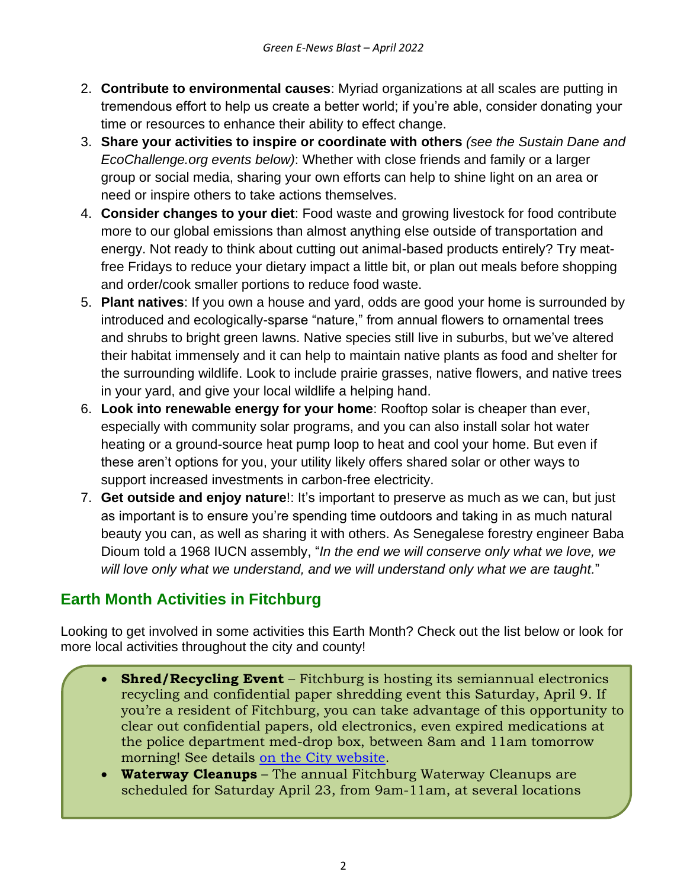- 2. **Contribute to environmental causes**: Myriad organizations at all scales are putting in tremendous effort to help us create a better world; if you're able, consider donating your time or resources to enhance their ability to effect change.
- 3. **Share your activities to inspire or coordinate with others** *(see the Sustain Dane and EcoChallenge.org events below)*: Whether with close friends and family or a larger group or social media, sharing your own efforts can help to shine light on an area or need or inspire others to take actions themselves.
- 4. **Consider changes to your diet**: Food waste and growing livestock for food contribute more to our global emissions than almost anything else outside of transportation and energy. Not ready to think about cutting out animal-based products entirely? Try meatfree Fridays to reduce your dietary impact a little bit, or plan out meals before shopping and order/cook smaller portions to reduce food waste.
- 5. **Plant natives**: If you own a house and yard, odds are good your home is surrounded by introduced and ecologically-sparse "nature," from annual flowers to ornamental trees and shrubs to bright green lawns. Native species still live in suburbs, but we've altered their habitat immensely and it can help to maintain native plants as food and shelter for the surrounding wildlife. Look to include prairie grasses, native flowers, and native trees in your yard, and give your local wildlife a helping hand.
- 6. **Look into renewable energy for your home**: Rooftop solar is cheaper than ever, especially with community solar programs, and you can also install solar hot water heating or a ground-source heat pump loop to heat and cool your home. But even if these aren't options for you, your utility likely offers shared solar or other ways to support increased investments in carbon-free electricity.
- 7. **Get outside and enjoy nature**!: It's important to preserve as much as we can, but just as important is to ensure you're spending time outdoors and taking in as much natural beauty you can, as well as sharing it with others. As Senegalese forestry engineer Baba Dioum told a 1968 IUCN assembly, "*In the end we will conserve only what we love, we will love only what we understand, and we will understand only what we are taught.*"

## <span id="page-1-0"></span>**Earth Month Activities in Fitchburg**

Looking to get involved in some activities this Earth Month? Check out the list below or look for more local activities throughout the city and county!

- **Shred/Recycling Event** Fitchburg is hosting its semiannual electronics recycling and confidential paper shredding event this Saturday, April 9. If you're a resident of Fitchburg, you can take advantage of this opportunity to clear out confidential papers, old electronics, even expired medications at the police department med-drop box, between 8am and 11am tomorrow morning! See details [on the City website.](https://www.fitchburgwi.gov/2717/Recycling-Day-Event)
- **Waterway Cleanups** The annual Fitchburg Waterway Cleanups are scheduled for Saturday April 23, from 9am-11am, at several locations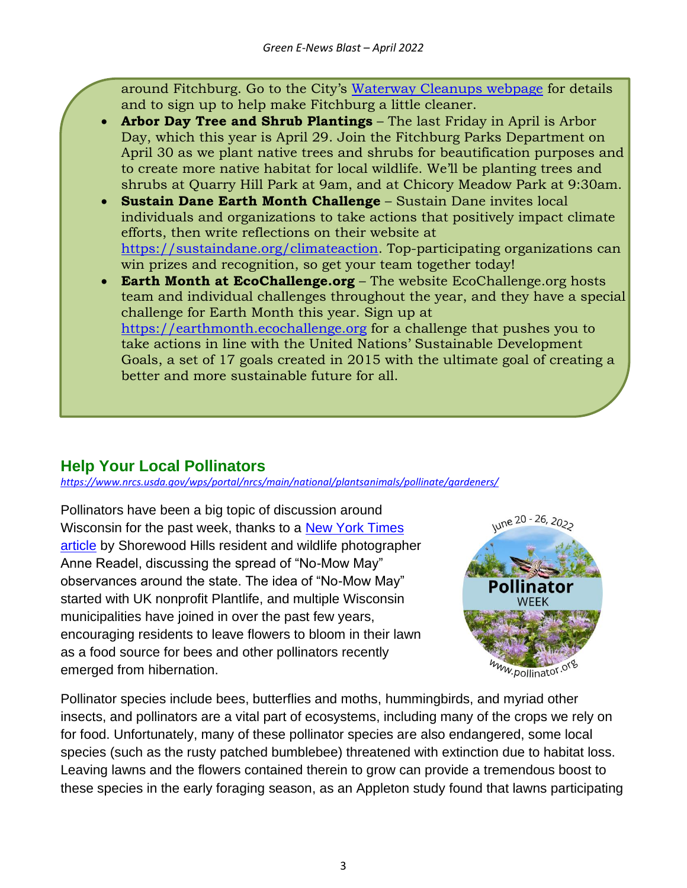around Fitchburg. Go to the City's [Waterway Cleanups webpage](https://www.fitchburgwi.gov/2634/Waterway-Cleanups) for details and to sign up to help make Fitchburg a little cleaner.

- **Arbor Day Tree and Shrub Plantings** The last Friday in April is Arbor Day, which this year is April 29. Join the Fitchburg Parks Department on April 30 as we plant native trees and shrubs for beautification purposes and to create more native habitat for local wildlife. We'll be planting trees and shrubs at Quarry Hill Park at 9am, and at Chicory Meadow Park at 9:30am.
- **Sustain Dane Earth Month Challenge** Sustain Dane invites local individuals and organizations to take actions that positively impact climate efforts, then write reflections on their website at [https://sustaindane.org/climateaction.](https://sustaindane.org/climateaction) Top-participating organizations can win prizes and recognition, so get your team together today!
- **Earth Month at EcoChallenge.org** The website EcoChallenge.org hosts team and individual challenges throughout the year, and they have a special challenge for Earth Month this year. Sign up at [https://earthmonth.ecochallenge.org](https://earthmonth.ecochallenge.org/) for a challenge that pushes you to take actions in line with the United Nations' Sustainable Development Goals, a set of 17 goals created in 2015 with the ultimate goal of creating a better and more sustainable future for all.

## <span id="page-2-0"></span>**Help Your Local Pollinators**

*<https://www.nrcs.usda.gov/wps/portal/nrcs/main/national/plantsanimals/pollinate/gardeners/>*

Pollinators have been a big topic of discussion around Wisconsin for the past week, thanks to a [New York Times](https://www.nytimes.com/2022/03/28/travel/no-mow-may-wisconsin.html)  [article](https://www.nytimes.com/2022/03/28/travel/no-mow-may-wisconsin.html) by Shorewood Hills resident and wildlife photographer Anne Readel, discussing the spread of "No-Mow May" observances around the state. The idea of "No-Mow May" started with UK nonprofit Plantlife, and multiple Wisconsin municipalities have joined in over the past few years, encouraging residents to leave flowers to bloom in their lawn as a food source for bees and other pollinators recently emerged from hibernation.



Pollinator species include bees, butterflies and moths, hummingbirds, and myriad other insects, and pollinators are a vital part of ecosystems, including many of the crops we rely on for food. Unfortunately, many of these pollinator species are also endangered, some local species (such as the rusty patched bumblebee) threatened with extinction due to habitat loss. Leaving lawns and the flowers contained therein to grow can provide a tremendous boost to these species in the early foraging season, as an Appleton study found that lawns participating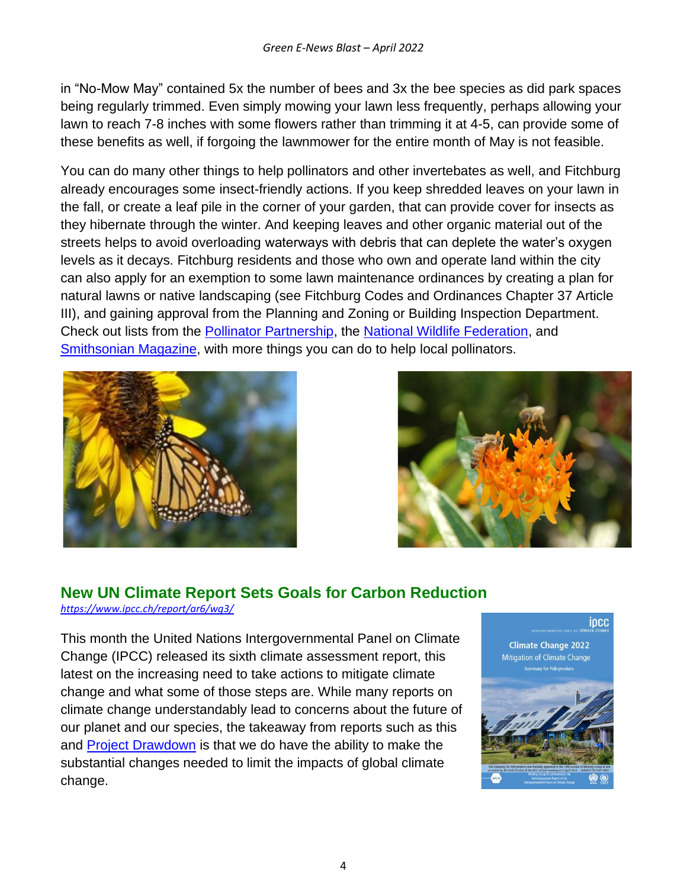in "No-Mow May" contained 5x the number of bees and 3x the bee species as did park spaces being regularly trimmed. Even simply mowing your lawn less frequently, perhaps allowing your lawn to reach 7-8 inches with some flowers rather than trimming it at 4-5, can provide some of these benefits as well, if forgoing the lawnmower for the entire month of May is not feasible.

You can do many other things to help pollinators and other invertebates as well, and Fitchburg already encourages some insect-friendly actions. If you keep shredded leaves on your lawn in the fall, or create a leaf pile in the corner of your garden, that can provide cover for insects as they hibernate through the winter. And keeping leaves and other organic material out of the streets helps to avoid overloading waterways with debris that can deplete the water's oxygen levels as it decays. Fitchburg residents and those who own and operate land within the city can also apply for an exemption to some lawn maintenance ordinances by creating a plan for natural lawns or native landscaping (see Fitchburg Codes and Ordinances Chapter 37 Article III), and gaining approval from the Planning and Zoning or Building Inspection Department. Check out lists from the [Pollinator Partnership,](https://www.pollinator.org/7things) the [National Wildlife Federation,](https://blog.nwf.org/2021/06/10-ways-to-save-pollinators/) and [Smithsonian Magazine,](https://www.smithsonianmag.com/smithsonian-institution/honor-world-bee-day-protect-your-local-pollinators-these-ten-east-ways-180969111/) with more things you can do to help local pollinators.





# <span id="page-3-0"></span>**New UN Climate Report Sets Goals for Carbon Reduction**

*<https://www.ipcc.ch/report/ar6/wg3/>*

This month the United Nations Intergovernmental Panel on Climate Change (IPCC) released its sixth climate assessment report, this latest on the increasing need to take actions to mitigate climate change and what some of those steps are. While many reports on climate change understandably lead to concerns about the future of our planet and our species, the takeaway from reports such as this and **[Project Drawdown](https://drawdown.org/)** is that we do have the ability to make the substantial changes needed to limit the impacts of global climate change.

ipcc **Climate Change 2022** Mitigation of Climate Change an for Policim

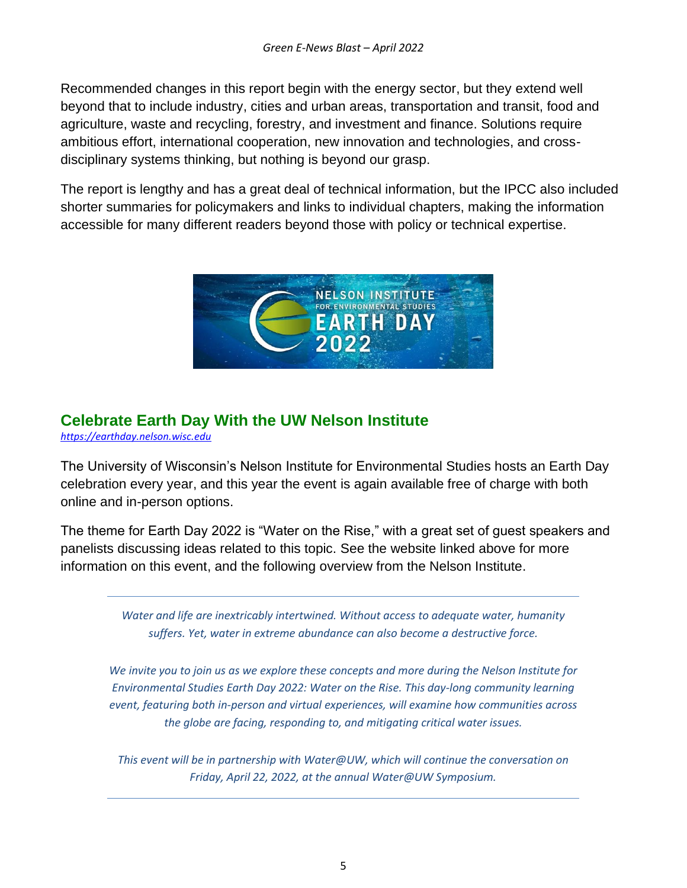Recommended changes in this report begin with the energy sector, but they extend well beyond that to include industry, cities and urban areas, transportation and transit, food and agriculture, waste and recycling, forestry, and investment and finance. Solutions require ambitious effort, international cooperation, new innovation and technologies, and crossdisciplinary systems thinking, but nothing is beyond our grasp.

The report is lengthy and has a great deal of technical information, but the IPCC also included shorter summaries for policymakers and links to individual chapters, making the information accessible for many different readers beyond those with policy or technical expertise.



## <span id="page-4-0"></span>**Celebrate Earth Day With the UW Nelson Institute**

*[https://earthday.nelson.wisc.edu](https://earthday.nelson.wisc.edu/)*

The University of Wisconsin's Nelson Institute for Environmental Studies hosts an Earth Day celebration every year, and this year the event is again available free of charge with both online and in-person options.

The theme for Earth Day 2022 is "Water on the Rise," with a great set of guest speakers and panelists discussing ideas related to this topic. See the website linked above for more information on this event, and the following overview from the Nelson Institute.

> *Water and life are inextricably intertwined. Without access to adequate water, humanity suffers. Yet, water in extreme abundance can also become a destructive force.*

*We invite you to join us as we explore these concepts and more during the Nelson Institute for Environmental Studies Earth Day 2022: Water on the Rise. This day-long community learning event, featuring both in-person and virtual experiences, will examine how communities across the globe are facing, responding to, and mitigating critical water issues.*

*This event will be in partnership with Water@UW, which will continue the conversation on Friday, April 22, 2022, at the annual Water@UW Symposium.*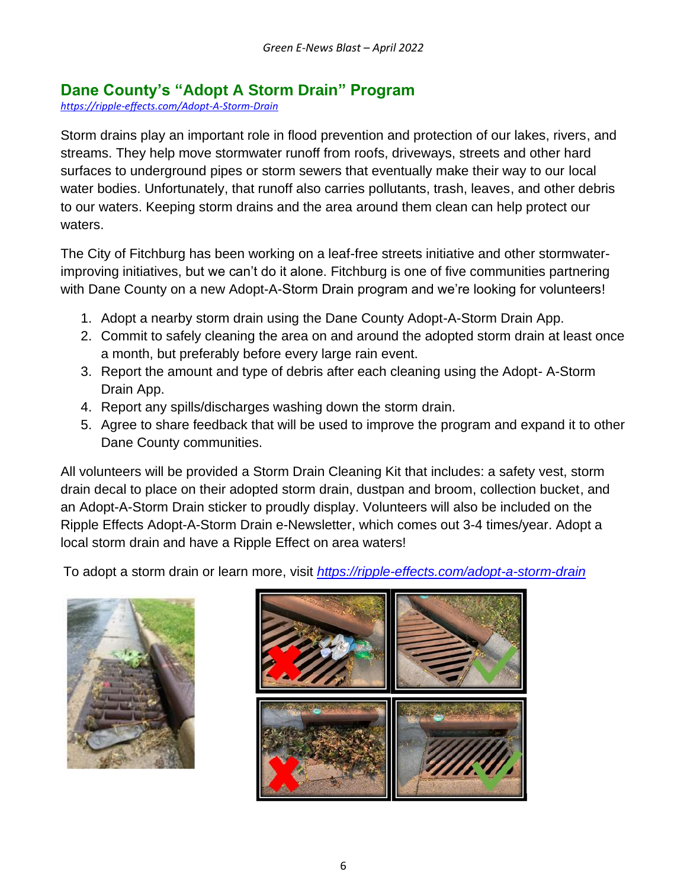## **Dane County's "Adopt A Storm Drain" Program**

*<https://ripple-effects.com/Adopt-A-Storm-Drain>*

Storm drains play an important role in flood prevention and protection of our lakes, rivers, and streams. They help move stormwater runoff from roofs, driveways, streets and other hard surfaces to underground pipes or storm sewers that eventually make their way to our local water bodies. Unfortunately, that runoff also carries pollutants, trash, leaves, and other debris to our waters. Keeping storm drains and the area around them clean can help protect our waters.

The City of Fitchburg has been working on a leaf-free streets initiative and other stormwaterimproving initiatives, but we can't do it alone. Fitchburg is one of five communities partnering with Dane County on a new Adopt-A-Storm Drain program and we're looking for volunteers!

- 1. Adopt a nearby storm drain using the Dane County Adopt-A-Storm Drain App.
- 2. Commit to safely cleaning the area on and around the adopted storm drain at least once a month, but preferably before every large rain event.
- 3. Report the amount and type of debris after each cleaning using the Adopt- A-Storm Drain App.
- 4. Report any spills/discharges washing down the storm drain.
- 5. Agree to share feedback that will be used to improve the program and expand it to other Dane County communities.

All volunteers will be provided a Storm Drain Cleaning Kit that includes: a safety vest, storm drain decal to place on their adopted storm drain, dustpan and broom, collection bucket, and an Adopt-A-Storm Drain sticker to proudly display. Volunteers will also be included on the Ripple Effects Adopt-A-Storm Drain e-Newsletter, which comes out 3-4 times/year. Adopt a local storm drain and have a Ripple Effect on area waters!

To adopt a storm drain or learn more, visit *<https://ripple-effects.com/adopt-a-storm-drain>*



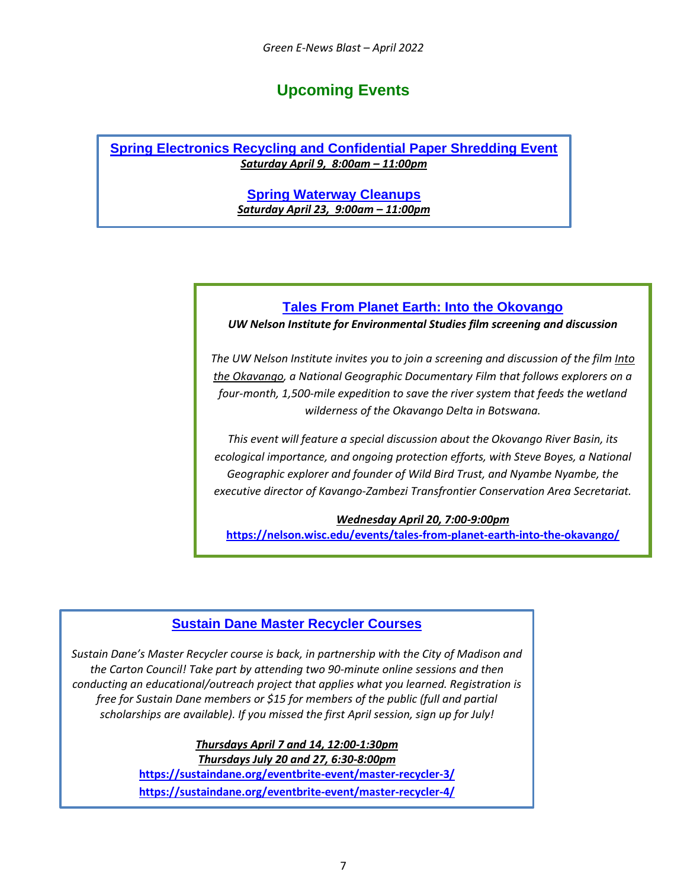### **Upcoming Events**

<span id="page-6-0"></span>**Spring Electronics Recycling and Confidential Paper Shredding Event** *Saturday April 9, 8:00am – 11:00pm*

> **Spring Waterway Cleanups** *Saturday April 23, 9:00am – 11:00pm*

#### **Tales From Planet Earth: Into the Okovango**

*UW Nelson Institute for Environmental Studies film screening and discussion*

*The UW Nelson Institute invites you to join a screening and discussion of the film Into the Okavango, a National Geographic Documentary Film that follows explorers on a four-month, 1,500-mile expedition to save the river system that feeds the wetland wilderness of the Okavango Delta in Botswana.*

*This event will feature a special discussion about the Okovango River Basin, its ecological importance, and ongoing protection efforts, with Steve Boyes, a National Geographic explorer and founder of Wild Bird Trust, and Nyambe Nyambe, the executive director of Kavango-Zambezi Transfrontier Conservation Area Secretariat.*

*Wednesday April 20, 7:00-9:00pm* **<https://nelson.wisc.edu/events/tales-from-planet-earth-into-the-okavango/>**

#### **Sustain Dane Master Recycler Courses**

*Sustain Dane's Master Recycler course is back, in partnership with the City of Madison and the Carton Council! Take part by attending two 90-minute online sessions and then conducting an educational/outreach project that applies what you learned. Registration is free for Sustain Dane members or \$15 for members of the public (full and partial scholarships are available). If you missed the first April session, sign up for July!*

> *Thursdays April 7 and 14, 12:00-1:30pm Thursdays July 20 and 27, 6:30-8:00pm* **<https://sustaindane.org/eventbrite-event/master-recycler-3/> <https://sustaindane.org/eventbrite-event/master-recycler-4/>**